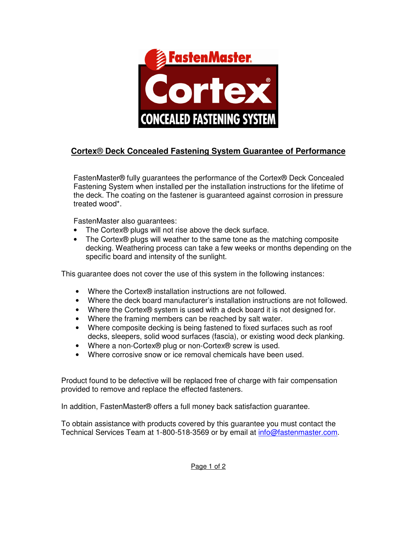

## **Cortex**® **Deck Concealed Fastening System Guarantee of Performance**

FastenMaster® fully guarantees the performance of the Cortex® Deck Concealed Fastening System when installed per the installation instructions for the lifetime of the deck. The coating on the fastener is guaranteed against corrosion in pressure treated wood\*.

FastenMaster also guarantees:

- The Cortex® plugs will not rise above the deck surface.
- The Cortex® plugs will weather to the same tone as the matching composite decking. Weathering process can take a few weeks or months depending on the specific board and intensity of the sunlight.

This guarantee does not cover the use of this system in the following instances:

- Where the Cortex® installation instructions are not followed.
- Where the deck board manufacturer's installation instructions are not followed.
- Where the Cortex® system is used with a deck board it is not designed for.
- Where the framing members can be reached by salt water.
- Where composite decking is being fastened to fixed surfaces such as roof decks, sleepers, solid wood surfaces (fascia), or existing wood deck planking.
- Where a non-Cortex® plug or non-Cortex® screw is used.
- Where corrosive snow or ice removal chemicals have been used.

Product found to be defective will be replaced free of charge with fair compensation provided to remove and replace the effected fasteners.

In addition, FastenMaster® offers a full money back satisfaction guarantee.

To obtain assistance with products covered by this guarantee you must contact the Technical Services Team at 1-800-518-3569 or by email at info@fastenmaster.com.

Page 1 of 2